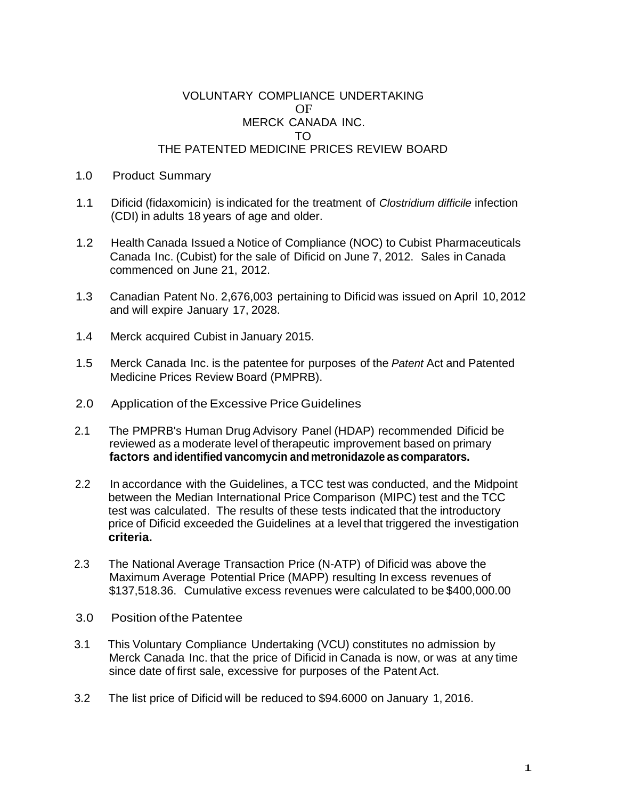## VOLUNTARY COMPLIANCE UNDERTAKING OF MERCK CANADA INC. TO THE PATENTED MEDICINE PRICES REVIEW BOARD

## 1.0 Product Summary

- 1.1 Dificid (fidaxomicin) is indicated for the treatment of *Clostridium difficile* infection (CDI) in adults 18 years of age and older.
- 1.2 Health Canada Issued a Notice of Compliance (NOC) to Cubist Pharmaceuticals Canada Inc. (Cubist) for the sale of Dificid on June 7, 2012. Sales in Canada commenced on June 21, 2012.
- 1.3 Canadian Patent No. 2,676,003 pertaining to Dificid was issued on April 10,2012 and will expire January 17, 2028.
- 1.4 Merck acquired Cubist in January 2015.
- 1.5 Merck Canada Inc. is the patentee for purposes of the *Patent* Act and Patented Medicine Prices Review Board (PMPRB).
- 2.0 Application of the Excessive Price Guidelines
- 2.1 The PMPRB's Human Drug Advisory Panel (HDAP) recommended Dificid be reviewed as a moderate level of therapeutic improvement based on primary **factors andidentified vancomycin and metronidazole as comparators.**
- 2.2 In accordance with the Guidelines, a TCC test was conducted, and the Midpoint between the Median International Price Comparison (MIPC) test and the TCC test was calculated. The results of these tests indicated that the introductory price of Dificid exceeded the Guidelines at a level that triggered the investigation **criteria.**
- 2.3 The National Average Transaction Price (N-ATP) of Dificid was above the Maximum Average Potential Price (MAPP) resulting In excess revenues of \$137,518.36. Cumulative excess revenues were calculated to be \$400,000.00
- 3.0 Position ofthe Patentee
- 3.1 This Voluntary Compliance Undertaking (VCU) constitutes no admission by Merck Canada Inc. that the price of Dificid in Canada is now, or was at any time since date of first sale, excessive for purposes of the Patent Act.
- 3.2 The list price of Dificid will be reduced to \$94.6000 on January 1, 2016.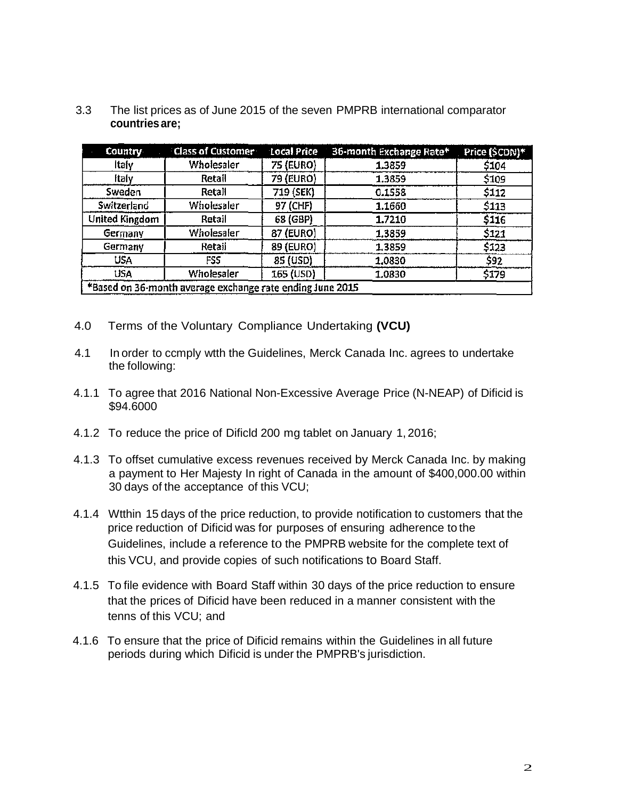| Country               | <b>Class of Customer</b>                                  | Local Price | 36-month Exchange Rate* | Price (\$CDN)* |
|-----------------------|-----------------------------------------------------------|-------------|-------------------------|----------------|
| <b>Itafy</b>          | Wholesaler                                                | 75 (EURO)   | 1.3859                  | \$104          |
| <b>Italy</b>          | Retail                                                    | 79 (EURO)   | 1.3859                  | \$109          |
| Sweden                | Retall                                                    | 719 (SEK)   | 0.1558                  | \$112          |
| <b>Switzerland</b>    | Wholesaler                                                | 97 (CHF)    | 1.1660                  | \$113          |
| <b>United Kingdom</b> | Retail                                                    | 68 (GBP)    | 1.7210                  | \$116          |
| Germany               | Wholesaler                                                | 87 (EURO)   | 1.3859                  | \$121          |
| Germany               | Retail                                                    | 89 (EURO)   | 1.3859                  | \$123          |
| <b>USA</b>            | FSS                                                       | 85 (USD)    | 1.0830                  | \$92           |
| <b>USA</b>            | Wholesaler                                                | 165 (USD)   | 1.0830                  | \$179          |
|                       | *Based on 36-month average exchange rate ending June 2015 |             |                         |                |

3.3 The list prices as of June 2015 of the seven PMPRB international comparator **countriesare;**

- 4.0 Terms of the Voluntary Compliance Undertaking **(VCU)**
- 4.1 In order to ccmply wtth the Guidelines, Merck Canada Inc. agrees to undertake the following:
- 4.1.1 To agree that 2016 National Non-Excessive Average Price (N-NEAP) of Dificid is \$94.6000
- 4.1.2 To reduce the price of Dificld 200 mg tablet on January 1, 2016;
- 4.1.3 To offset cumulative excess revenues received by Merck Canada Inc. by making a payment to Her Majesty In right of Canada in the amount of \$400,000.00 within 30 days of the acceptance of this VCU;
- 4.1.4 Wtthin 15 days of the price reduction, to provide notification to customers that the price reduction of Dificid was for purposes of ensuring adherence to the Guidelines, include a reference to the PMPRB website for the complete text of this VCU, and provide copies of such notifications to Board Staff.
- 4.1.5 To file evidence with Board Staff within 30 days of the price reduction to ensure that the prices of Dificid have been reduced in a manner consistent with the tenns of this VCU; and
- 4.1.6 To ensure that the price of Dificid remains within the Guidelines in all future periods during which Dificid is under the PMPRB's jurisdiction.